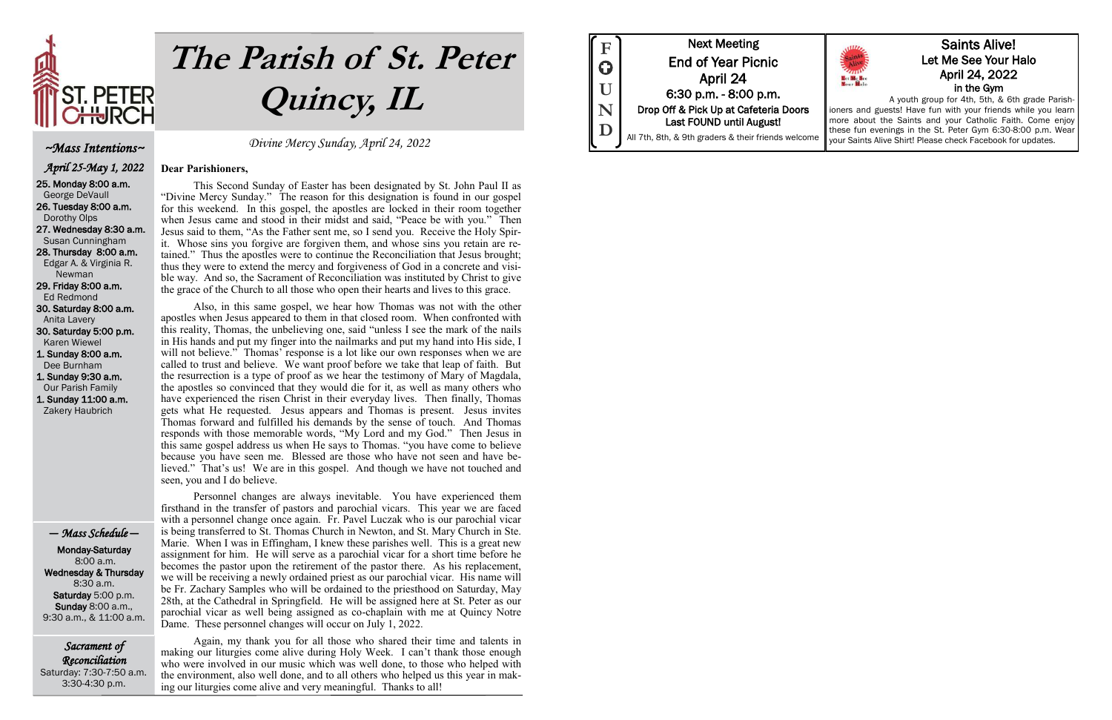

# **The Parish of St. Peter Quincy, IL**

Sacrament of Reconciliation Saturday: 7:30-7:50 a.m. 3:30-4:30 p.m.

Divine Mercy Sunday, April 24, 2022

#### **Dear Parishioners,**

This Second Sunday of Easter has been designated by St. John Paul II as "Divine Mercy Sunday." The reason for this designation is found in our gospel for this weekend. In this gospel, the apostles are locked in their room together when Jesus came and stood in their midst and said, "Peace be with you." Then Jesus said to them, "As the Father sent me, so I send you. Receive the Holy Spirit. Whose sins you forgive are forgiven them, and whose sins you retain are retained." Thus the apostles were to continue the Reconciliation that Jesus brought; thus they were to extend the mercy and forgiveness of God in a concrete and visible way. And so, the Sacrament of Reconciliation was instituted by Christ to give the grace of the Church to all those who open their hearts and lives to this grace.

Also, in this same gospel, we hear how Thomas was not with the other apostles when Jesus appeared to them in that closed room. When confronted with this reality, Thomas, the unbelieving one, said "unless I see the mark of the nails in His hands and put my finger into the nailmarks and put my hand into His side, I will not believe." Thomas' response is a lot like our own responses when we are called to trust and believe. We want proof before we take that leap of faith. But the resurrection is a type of proof as we hear the testimony of Mary of Magdala, the apostles so convinced that they would die for it, as well as many others who have experienced the risen Christ in their everyday lives. Then finally, Thomas gets what He requested. Jesus appears and Thomas is present. Jesus invites Thomas forward and fulfilled his demands by the sense of touch. And Thomas responds with those memorable words, "My Lord and my God." Then Jesus in this same gospel address us when He says to Thomas. "you have come to believe because you have seen me. Blessed are those who have not seen and have believed." That's us! We are in this gospel. And though we have not touched and seen, you and I do believe.

Personnel changes are always inevitable. You have experienced them firsthand in the transfer of pastors and parochial vicars. This year we are faced with a personnel change once again. Fr. Pavel Luczak who is our parochial vicar is being transferred to St. Thomas Church in Newton, and St. Mary Church in Ste. Marie. When I was in Effingham, I knew these parishes well. This is a great new assignment for him. He will serve as a parochial vicar for a short time before he becomes the pastor upon the retirement of the pastor there. As his replacement, we will be receiving a newly ordained priest as our parochial vicar. His name will be Fr. Zachary Samples who will be ordained to the priesthood on Saturday, May 28th, at the Cathedral in Springfield. He will be assigned here at St. Peter as our parochial vicar as well being assigned as co-chaplain with me at Quincy Notre Dame. These personnel changes will occur on July 1, 2022.

Again, my thank you for all those who shared their time and talents in making our liturgies come alive during Holy Week. I can't thank those enough who were involved in our music which was well done, to those who helped with the environment, also well done, and to all others who helped us this year in making our liturgies come alive and very meaningful. Thanks to all!



#### ~Mass Intentions~

 April 25-May 1, 2022 25. Monday 8:00 a.m. George DeVaull 26. Tuesday 8:00 a.m. Dorothy Olps 27. Wednesday 8:30 a.m. Susan Cunningham 28. Thursday 8:00 a.m. Edgar A. & Virginia R. Newman 29. Friday 8:00 a.m. Ed Redmond 30. Saturday 8:00 a.m. Anita Lavery 30. Saturday 5:00 p.m. Karen Wiewel 1. Sunday 8:00 a.m. Dee Burnham 1. Sunday 9:30 a.m. Our Parish Family 1. Sunday 11:00 a.m. Zakery Haubrich

#### — Mass Schedule —

 Monday-Saturday 8:00 a.m. Wednesday & Thursday 8:30 a.m. Saturday 5:00 p.m. Sunday 8:00 a.m., 9:30 a.m., & 11:00 a.m.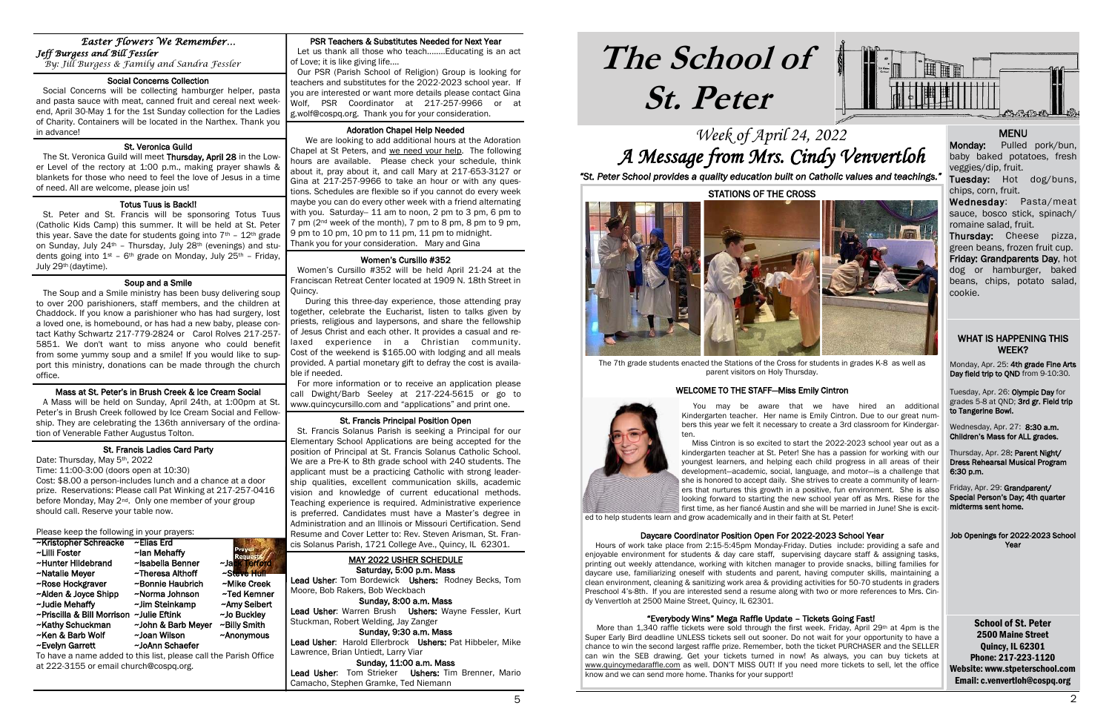## **The School of St. Peter**

School of St. Peter 2500 Maine Street Quincy, IL 62301 Phone: 217-223-1120 Website: www.stpeterschool.com Email: c.venvertloh@cospq.org

### Week of April 24, 2022 A Message from Mrs. Cindy Venvertloh *"St. Peter School provides a quality education built on Catholic values and teachings."*

Monday, Apr. 25: 4th grade Fine Arts Day field trip to QND from 9-10:30.



#### **MENU**

Wednesday, Apr. 27: 8:30 a.m. Children's Mass for ALL grades.

#### WHAT IS HAPPENING THIS WEEK?

Tuesday, Apr. 26: Olympic Day for grades 5-8 at QND; 3rd gr. Field trip to Tangerine Bowl.

Thursday, Apr. 28: Parent Night/ Dress Rehearsal Musical Program 6:30 p.m.

Friday, Apr. 29: Grandparent/ Special Person's Day; 4th quarter midterms sent home.

Job Openings for 2022-2023 School Year

#### PSR Teachers & Substitutes Needed for Next Year

 Let us thank all those who teach........Educating is an act of Love; it is like giving life....

 Our PSR (Parish School of Religion) Group is looking for teachers and substitutes for the 2022-2023 school year. If you are interested or want more details please contact Gina Wolf, PSR Coordinator at 217-257-9966 or at g.wolf@cospq.org. Thank you for your consideration.

#### Adoration Chapel Help Needed

 We are looking to add additional hours at the Adoration Chapel at St Peters, and we need your help. The following hours are available. Please check your schedule, think about it, pray about it, and call Mary at 217-653-3127 or Gina at 217-257-9966 to take an hour or with any questions. Schedules are flexible so if you cannot do every week maybe you can do every other week with a friend alternating with you. Saturday-- 11 am to noon, 2 pm to 3 pm, 6 pm to 7 pm (2nd week of the month), 7 pm to 8 pm, 8 pm to 9 pm, 9 pm to 10 pm, 10 pm to 11 pm, 11 pm to midnight. Thank you for your consideration. Mary and Gina

Lead Usher: Tom Bordewick Ushers: Rodney Becks, Tom Moore, Bob Rakers, Bob Weckbach

Lead Usher: Warren Brush Ushers: Wayne Fessler, Kurt Stuckman, Robert Welding, Jay Zanger

#### Women's Cursillo #352

j

Lead Usher: Tom Strieker Ushers: Tim Brenner, Mario Camacho, Stephen Gramke, Ted Niemann

 *By: Jill Burgess & Family and Sandra Fessler*  í

> Women's Cursillo #352 will be held April 21-24 at the Franciscan Retreat Center located at 1909 N. 18th Street in Quincy.

#### ٦ St. Veronica Guild

 During this three-day experience, those attending pray together, celebrate the Eucharist, listen to talks given by priests, religious and laypersons, and share the fellowship of Jesus Christ and each other. It provides a casual and relaxed experience in a Christian community. Cost of the weekend is \$165.00 with lodging and all meals provided. A partial monetary gift to defray the cost is available if needed.

The St. Veronica Guild will meet Thursday, April 28 in the Lower Level of the rectory at 1:00 p.m., making prayer shawls & blankets for those who need to feel the love of Jesus in a time of need. All are welcome, please join us!

1

í

 For more information or to receive an application please call Dwight/Barb Seeley at 217-224-5615 or go to www.quincycursillo.com and "applications" and print one.

#### St. Francis Principal Position Open

 St. Francis Solanus Parish is seeking a Principal for our Elementary School Applications are being accepted for the position of Principal at St. Francis Solanus Catholic School. We are a Pre-K to 8th grade school with 240 students. The applicant must be a practicing Catholic with strong leadership qualities, excellent communication skills, academic vision and knowledge of current educational methods. Teaching experience is required. Administrative experience is preferred. Candidates must have a Master's degree in Administration and an Illinois or Missouri Certification. Send Resume and Cover Letter to: Rev. Steven Arisman, St. Francis Solanus Parish, 1721 College Ave., Quincy, IL 62301.

Monday: Pulled pork/bun, baby baked potatoes, fresh veggies/dip, fruit.

#### MAY 2022 USHER SCHEDULE Saturday, 5:00 p.m. Mass

Sunday, 8:00 a.m. Mass

Sunday, 9:30 a.m. Mass Lead Usher: Harold Ellerbrock Ushers: Pat Hibbeler, Mike Lawrence, Brian Untiedt, Larry Viar

Sunday, 11:00 a.m. Mass

#### *Easter Flowers We Remember… Jeff Burgess and Bill Fessler*

#### Social Concerns Collection

 Social Concerns will be collecting hamburger helper, pasta and pasta sauce with meat, canned fruit and cereal next weekend, April 30-May 1 for the 1st Sunday collection for the Ladies of Charity. Containers will be located in the Narthex. Thank you in advance!

#### Totus Tuus is Back!!

More than 1,340 raffle tickets were sold through the first week. Friday, April 29th at 4pm is the Super Early Bird deadline UNLESS tickets sell out sooner. Do not wait for your opportunity to have a chance to win the second largest raffle prize. Remember, both the ticket PURCHASER and the SELLER can win the SEB drawing. Get your tickets turned in now! As always, you can buy tickets at [www.quincymedaraffle.com](http://www.quincymedaraffle.com) as well. DON'T MISS OUT! If you need more tickets to sell, let the office know and we can send more home. Thanks for your support!

 St. Peter and St. Francis will be sponsoring Totus Tuus (Catholic Kids Camp) this summer. It will be held at St. Peter this year. Save the date for students going into  $7<sup>th</sup>$  -  $12<sup>th</sup>$  grade on Sunday, July 24<sup>th</sup> - Thursday, July 28<sup>th</sup> (evenings) and students going into  $1^{st}$  – 6<sup>th</sup> grade on Monday, July 25<sup>th</sup> – Friday, July 29th (daytime).

#### Soup and a Smile

 The Soup and a Smile ministry has been busy delivering soup to over 200 parishioners, staff members, and the children at Chaddock. If you know a parishioner who has had surgery, lost a loved one, is homebound, or has had a new baby, please contact Kathy Schwartz 217-779-2824 or Carol Rolves 217-257- 5851. We don't want to miss anyone who could benefit from some yummy soup and a smile! If you would like to support this ministry, donations can be made through the church office.

#### Mass at St. Peter's in Brush Creek & Ice Cream Social

 A Mass will be held on Sunday, April 24th, at 1:00pm at St. Peter's in Brush Creek followed by Ice Cream Social and Fellowship. They are celebrating the 136th anniversary of the ordination of Venerable Father Augustus Tolton.

#### St. Francis Ladies Card Party

Date: Thursday, May 5th, 2022

Time: 11:00-3:00 (doors open at 10:30)

Cost: \$8.00 a person-includes lunch and a chance at a door prize. Reservations: Please call Pat Winking at 217-257-0416 before Monday, May 2<sup>nd</sup>. Only one member of your group should call. Reserve your table now.

Please keep the following in your prayers:

| ~Kristopher Schreacke      | ~Elias Erd         |                |
|----------------------------|--------------------|----------------|
| ~Lilli Foster              | ~lan Mehaffy       | <b>Request</b> |
| ~Hunter Hildebrand         | ~Isabella Benner   | ~Jack Terford  |
| ~Natalie Meyer             | ~Theresa Althoff   | ~Steve Hull    |
| ~Rose Hockgraver           | ~Bonnie Haubrich   | ~Mike Creek    |
| ~Alden & Joyce Shipp       | ~Norma Johnson     | ~Ted Kemner    |
| ~Judie Mehaffy             | ~Jim Steinkamp     | ~Amy Seibert   |
| ~Priscilla & Bill Morrison | ~Julie Eftink      | ~Jo Buckley    |
| ~Kathy Schuckman           | ~John & Barb Meyer | ~Billy Smith   |
| ~Ken & Barb Wolf           | ~Joan Wilson       | ~Anonymous     |
| ~Evelyn Garrett            | ~JoAnn Schaefer    |                |

To have a name added to this list, please call the Parish Office at 222-3155 or email church@cospq.org.

Tuesday: Hot dog/buns, chips, corn, fruit.

Wednesday: Pasta/meat sauce, bosco stick, spinach/ romaine salad, fruit.

Thursday: Cheese pizza, green beans, frozen fruit cup.

Friday: Grandparents Day, hot dog or hamburger, baked beans, chips, potato salad, cookie.

STATIONS OF THE CROSS



The 7th grade students enacted the Stations of the Cross for students in grades K-8 as well as parent visitors on Holy Thursday.

#### WELCOME TO THE STAFF—Miss Emily Cintron

 You may be aware that we have hired an additional Kindergarten teacher. Her name is Emily Cintron. Due to our great numbers this year we felt it necessary to create a 3rd classroom for Kindergar-



Miss Cintron is so excited to start the 2022-2023 school year out as a

kindergarten teacher at St. Peter! She has a passion for working with our youngest learners, and helping each child progress in all areas of their development—academic, social, language, and motor—is a challenge that she is honored to accept daily. She strives to create a community of learners that nurtures this growth in a positive, fun environment. She is also looking forward to starting the new school year off as Mrs. Riese for the first time, as her fiancé Austin and she will be married in June! She is excited to help students learn and grow academically and in their faith at St. Peter!

#### Daycare Coordinator Position Open For 2022-2023 School Year

 Hours of work take place from 2:15-5:45pm Monday-Friday. Duties include: providing a safe and enjoyable environment for students & day care staff, supervising daycare staff & assigning tasks, printing out weekly attendance, working with kitchen manager to provide snacks, billing families for daycare use, familiarizing oneself with students and parent, having computer skills, maintaining a clean environment, cleaning & sanitizing work area & providing activities for 50-70 students in graders Preschool 4's-8th. If you are interested send a resume along with two or more references to Mrs. Cindy Venvertloh at 2500 Maine Street, Quincy, IL 62301.

#### "Everybody Wins" Mega Raffle Update – Tickets Going Fast!